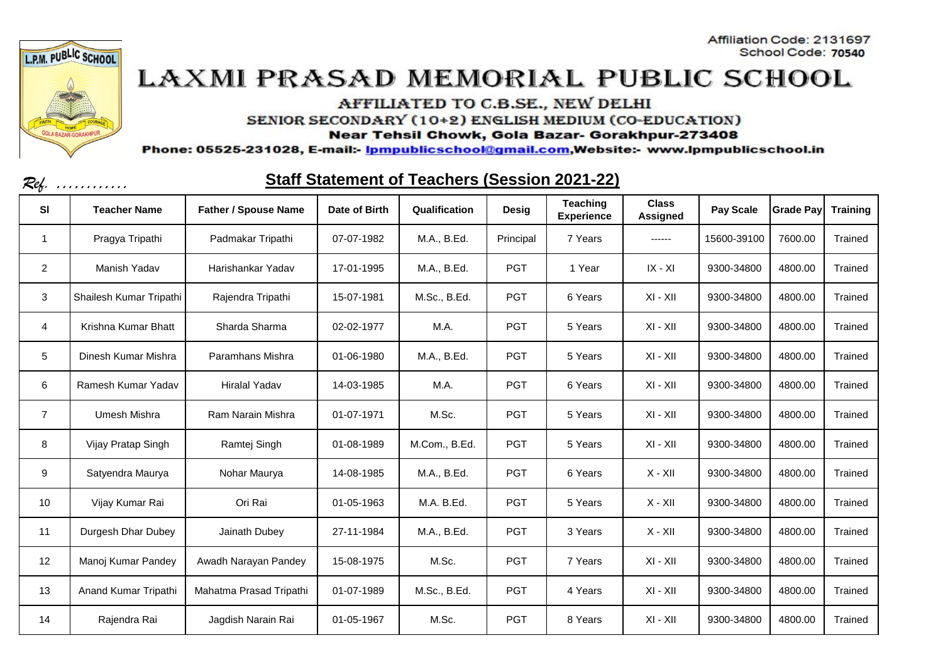



AFFILIATED TO C.B.SE., NEW DELHI

SENIOR SECONDARY (10+2) ENGLISH MEDIUM (CO-EDUCATION)

Near Tehsil Chowk, Gola Bazar- Gorakhpur-273408

Phone: 05525-231028, E-mail:- Ipmpublicschool@gmail.com,Website:- www.Ipmpublicschool.in

| Kef.           | .                       |                             |               | <u>Ulah Ulalement UL Teachers (Ucssium ZUZ I-ZZ)</u> |              |                               |                          |                  |                  |                 |
|----------------|-------------------------|-----------------------------|---------------|------------------------------------------------------|--------------|-------------------------------|--------------------------|------------------|------------------|-----------------|
| <b>SI</b>      | <b>Teacher Name</b>     | <b>Father / Spouse Name</b> | Date of Birth | Qualification                                        | <b>Desig</b> | Teaching<br><b>Experience</b> | <b>Class</b><br>Assigned | <b>Pay Scale</b> | <b>Grade Pay</b> | <b>Training</b> |
| 1              | Pragya Tripathi         | Padmakar Tripathi           | 07-07-1982    | M.A., B.Ed.                                          | Principal    | 7 Years                       | ------                   | 15600-39100      | 7600.00          | Trained         |
| $\overline{2}$ | Manish Yadav            | Harishankar Yadav           | 17-01-1995    | M.A., B.Ed.                                          | <b>PGT</b>   | 1 Year                        | $IX - XI$                | 9300-34800       | 4800.00          | Trained         |
| 3              | Shailesh Kumar Tripathi | Rajendra Tripathi           | 15-07-1981    | M.Sc., B.Ed.                                         | <b>PGT</b>   | 6 Years                       | $XI - XII$               | 9300-34800       | 4800.00          | Trained         |
| 4              | Krishna Kumar Bhatt     | Sharda Sharma               | 02-02-1977    | M.A.                                                 | <b>PGT</b>   | 5 Years                       | $XI - XII$               | 9300-34800       | 4800.00          | Trained         |
| 5              | Dinesh Kumar Mishra     | Paramhans Mishra            | 01-06-1980    | M.A., B.Ed.                                          | <b>PGT</b>   | 5 Years                       | $XI - XII$               | 9300-34800       | 4800.00          | Trained         |
| 6              | Ramesh Kumar Yadav      | <b>Hiralal Yadav</b>        | 14-03-1985    | M.A.                                                 | <b>PGT</b>   | 6 Years                       | $XI - XII$               | 9300-34800       | 4800.00          | Trained         |
| $\overline{7}$ | Umesh Mishra            | Ram Narain Mishra           | 01-07-1971    | M.Sc.                                                | <b>PGT</b>   | 5 Years                       | XI - XII                 | 9300-34800       | 4800.00          | Trained         |
| 8              | Vijay Pratap Singh      | Ramtej Singh                | 01-08-1989    | M.Com., B.Ed.                                        | <b>PGT</b>   | 5 Years                       | $XI - XII$               | 9300-34800       | 4800.00          | Trained         |
| 9              | Satyendra Maurya        | Nohar Maurya                | 14-08-1985    | M.A., B.Ed.                                          | <b>PGT</b>   | 6 Years                       | $X - XII$                | 9300-34800       | 4800.00          | Trained         |
| 10             | Vijay Kumar Rai         | Ori Rai                     | 01-05-1963    | M.A. B.Ed.                                           | <b>PGT</b>   | 5 Years                       | $X - XII$                | 9300-34800       | 4800.00          | Trained         |
| 11             | Durgesh Dhar Dubey      | Jainath Dubey               | 27-11-1984    | M.A., B.Ed.                                          | <b>PGT</b>   | 3 Years                       | $X - XII$                | 9300-34800       | 4800.00          | Trained         |
| 12             | Manoj Kumar Pandey      | Awadh Narayan Pandey        | 15-08-1975    | M.Sc.                                                | <b>PGT</b>   | 7 Years                       | $XI - XII$               | 9300-34800       | 4800.00          | Trained         |
| 13             | Anand Kumar Tripathi    | Mahatma Prasad Tripathi     | 01-07-1989    | M.Sc., B.Ed.                                         | <b>PGT</b>   | 4 Years                       | $XI - XII$               | 9300-34800       | 4800.00          | Trained         |
| 14             | Rajendra Rai            | Jagdish Narain Rai          | 01-05-1967    | M.Sc.                                                | <b>PGT</b>   | 8 Years                       | $XI - XII$               | 9300-34800       | 4800.00          | Trained         |

#### Staff Statement of Teachers (Session 2021 22)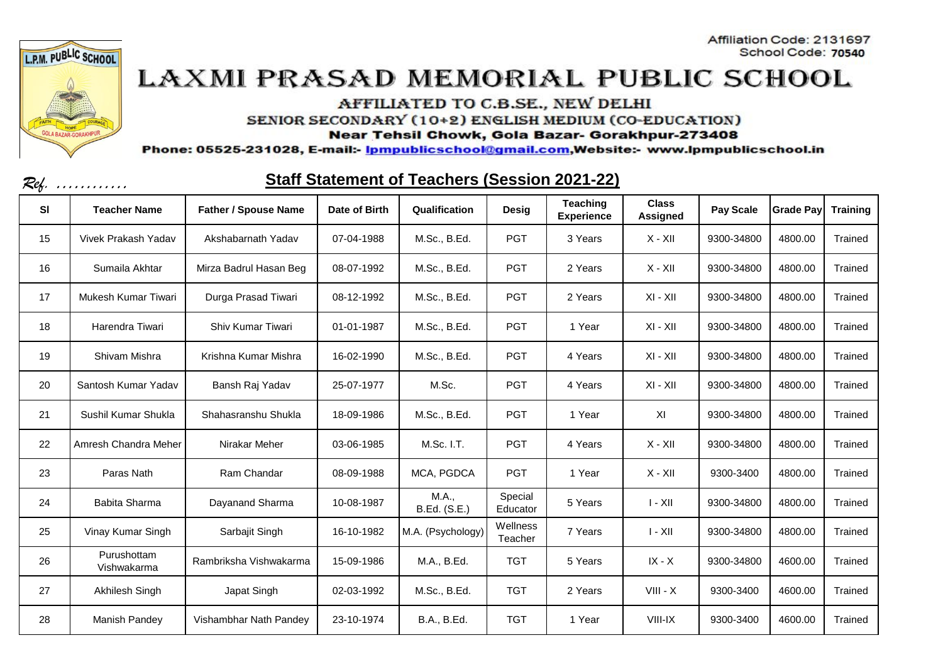



AFFILIATED TO C.B.SE., NEW DELHI

SENIOR SECONDARY (10+2) ENGLISH MEDIUM (CO-EDUCATION)

Near Tehsil Chowk, Gola Bazar- Gorakhpur-273408

Phone: 05525-231028, E-mail:- Ipmpublicschool@gmail.com,Website:- www.Ipmpublicschool.in

| Kef. | .                          |                             |               | <u>Jian Jialenichi Ul Teachers (Jessiun Zuz Pzz)</u> |                     |                               |                          |            |                  |                 |
|------|----------------------------|-----------------------------|---------------|------------------------------------------------------|---------------------|-------------------------------|--------------------------|------------|------------------|-----------------|
| SI   | <b>Teacher Name</b>        | <b>Father / Spouse Name</b> | Date of Birth | Qualification                                        | <b>Desig</b>        | Teaching<br><b>Experience</b> | <b>Class</b><br>Assigned | Pay Scale  | <b>Grade Pay</b> | <b>Training</b> |
| 15   | Vivek Prakash Yadav        | Akshabarnath Yadav          | 07-04-1988    | M.Sc., B.Ed.                                         | <b>PGT</b>          | 3 Years                       | $X - XII$                | 9300-34800 | 4800.00          | Trained         |
| 16   | Sumaila Akhtar             | Mirza Badrul Hasan Beg      | 08-07-1992    | M.Sc., B.Ed.                                         | <b>PGT</b>          | 2 Years                       | $X - XII$                | 9300-34800 | 4800.00          | Trained         |
| 17   | Mukesh Kumar Tiwari        | Durga Prasad Tiwari         | 08-12-1992    | M.Sc., B.Ed.                                         | <b>PGT</b>          | 2 Years                       | $XI - XII$               | 9300-34800 | 4800.00          | Trained         |
| 18   | Harendra Tiwari            | Shiv Kumar Tiwari           | 01-01-1987    | M.Sc., B.Ed.                                         | <b>PGT</b>          | 1 Year                        | $XI - XII$               | 9300-34800 | 4800.00          | Trained         |
| 19   | Shivam Mishra              | Krishna Kumar Mishra        | 16-02-1990    | M.Sc., B.Ed.                                         | <b>PGT</b>          | 4 Years                       | XI - XII                 | 9300-34800 | 4800.00          | Trained         |
| 20   | Santosh Kumar Yadav        | Bansh Raj Yadav             | 25-07-1977    | M.Sc.                                                | <b>PGT</b>          | 4 Years                       | $XI - XII$               | 9300-34800 | 4800.00          | Trained         |
| 21   | Sushil Kumar Shukla        | Shahasranshu Shukla         | 18-09-1986    | M.Sc., B.Ed.                                         | <b>PGT</b>          | 1 Year                        | XI                       | 9300-34800 | 4800.00          | Trained         |
| 22   | Amresh Chandra Meher       | Nirakar Meher               | 03-06-1985    | M.Sc. I.T.                                           | <b>PGT</b>          | 4 Years                       | $X - XII$                | 9300-34800 | 4800.00          | Trained         |
| 23   | Paras Nath                 | Ram Chandar                 | 08-09-1988    | MCA, PGDCA                                           | <b>PGT</b>          | 1 Year                        | $X - XII$                | 9300-3400  | 4800.00          | Trained         |
| 24   | Babita Sharma              | Dayanand Sharma             | 10-08-1987    | M.A.,<br>B.Ed. (S.E.)                                | Special<br>Educator | 5 Years                       | $I - XII$                | 9300-34800 | 4800.00          | Trained         |
| 25   | Vinay Kumar Singh          | Sarbajit Singh              | 16-10-1982    | M.A. (Psychology)                                    | Wellness<br>Teacher | 7 Years                       | $I - XII$                | 9300-34800 | 4800.00          | Trained         |
| 26   | Purushottam<br>Vishwakarma | Rambriksha Vishwakarma      | 15-09-1986    | M.A., B.Ed.                                          | <b>TGT</b>          | 5 Years                       | $IX - X$                 | 9300-34800 | 4600.00          | Trained         |
| 27   | Akhilesh Singh             | Japat Singh                 | 02-03-1992    | M.Sc., B.Ed.                                         | <b>TGT</b>          | 2 Years                       | $VIII - X$               | 9300-3400  | 4600.00          | Trained         |
| 28   | Manish Pandey              | Vishambhar Nath Pandey      | 23-10-1974    | B.A., B.Ed.                                          | <b>TGT</b>          | 1 Year                        | VIII-IX                  | 9300-3400  | 4600.00          | Trained         |

#### Staff Statement of Teachers (Session 2021 22)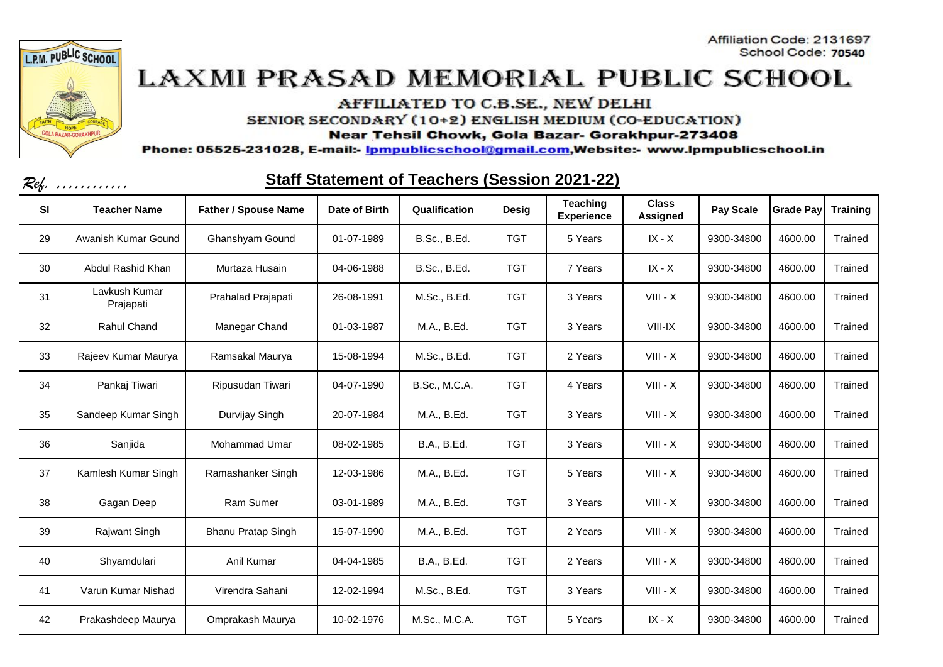



AFFILIATED TO C.B.SE., NEW DELHI

SENIOR SECONDARY (10+2) ENGLISH MEDIUM (CO-EDUCATION)

Near Tehsil Chowk, Gola Bazar- Gorakhpur-273408

Phone: 05525-231028, E-mail:- Ipmpublicschool@gmail.com,Website:- www.Ipmpublicschool.in

|           | $\mathcal{K}\!\ell_{\hbar}$ , |                             |               | Utan Utatement Ur Teauners (Oessiun ZUZT-ZZ) |              |                               |                          |            |                  |                 |
|-----------|-------------------------------|-----------------------------|---------------|----------------------------------------------|--------------|-------------------------------|--------------------------|------------|------------------|-----------------|
| <b>SI</b> | <b>Teacher Name</b>           | <b>Father / Spouse Name</b> | Date of Birth | Qualification                                | <b>Desig</b> | Teaching<br><b>Experience</b> | <b>Class</b><br>Assigned | Pay Scale  | <b>Grade Pay</b> | <b>Training</b> |
| 29        | Awanish Kumar Gound           | Ghanshyam Gound             | 01-07-1989    | B.Sc., B.Ed.                                 | <b>TGT</b>   | 5 Years                       | $IX - X$                 | 9300-34800 | 4600.00          | Trained         |
| 30        | Abdul Rashid Khan             | Murtaza Husain              | 04-06-1988    | <b>B.Sc., B.Ed.</b>                          | <b>TGT</b>   | 7 Years                       | $IX - X$                 | 9300-34800 | 4600.00          | Trained         |
| 31        | Lavkush Kumar<br>Prajapati    | Prahalad Prajapati          | 26-08-1991    | M.Sc., B.Ed.                                 | <b>TGT</b>   | 3 Years                       | $VIII - X$               | 9300-34800 | 4600.00          | Trained         |
| 32        | Rahul Chand                   | Manegar Chand               | 01-03-1987    | M.A., B.Ed.                                  | <b>TGT</b>   | 3 Years                       | VIII-IX                  | 9300-34800 | 4600.00          | Trained         |
| 33        | Rajeev Kumar Maurya           | Ramsakal Maurya             | 15-08-1994    | M.Sc., B.Ed.                                 | <b>TGT</b>   | 2 Years                       | $VIII - X$               | 9300-34800 | 4600.00          | Trained         |
| 34        | Pankaj Tiwari                 | Ripusudan Tiwari            | 04-07-1990    | <b>B.Sc., M.C.A.</b>                         | <b>TGT</b>   | 4 Years                       | $VIII - X$               | 9300-34800 | 4600.00          | Trained         |
| 35        | Sandeep Kumar Singh           | Durvijay Singh              | 20-07-1984    | M.A., B.Ed.                                  | <b>TGT</b>   | 3 Years                       | $VIII - X$               | 9300-34800 | 4600.00          | Trained         |
| 36        | Sanjida                       | Mohammad Umar               | 08-02-1985    | B.A., B.Ed.                                  | <b>TGT</b>   | 3 Years                       | $VIII - X$               | 9300-34800 | 4600.00          | Trained         |
| 37        | Kamlesh Kumar Singh           | Ramashanker Singh           | 12-03-1986    | M.A., B.Ed.                                  | <b>TGT</b>   | 5 Years                       | $VIII - X$               | 9300-34800 | 4600.00          | Trained         |
| 38        | Gagan Deep                    | Ram Sumer                   | 03-01-1989    | M.A., B.Ed.                                  | <b>TGT</b>   | 3 Years                       | $VIII - X$               | 9300-34800 | 4600.00          | Trained         |
| 39        | Rajwant Singh                 | <b>Bhanu Pratap Singh</b>   | 15-07-1990    | M.A., B.Ed.                                  | <b>TGT</b>   | 2 Years                       | $VIII - X$               | 9300-34800 | 4600.00          | Trained         |
| 40        | Shyamdulari                   | Anil Kumar                  | 04-04-1985    | B.A., B.Ed.                                  | <b>TGT</b>   | 2 Years                       | $VIII - X$               | 9300-34800 | 4600.00          | Trained         |
| 41        | Varun Kumar Nishad            | Virendra Sahani             | 12-02-1994    | M.Sc., B.Ed.                                 | <b>TGT</b>   | 3 Years                       | $VIII - X$               | 9300-34800 | 4600.00          | Trained         |
| 42        | Prakashdeep Maurya            | Omprakash Maurya            | 10-02-1976    | M.Sc., M.C.A.                                | <b>TGT</b>   | 5 Years                       | $IX - X$                 | 9300-34800 | 4600.00          | Trained         |

#### Staff Statement of Teachers (Session 2021-22)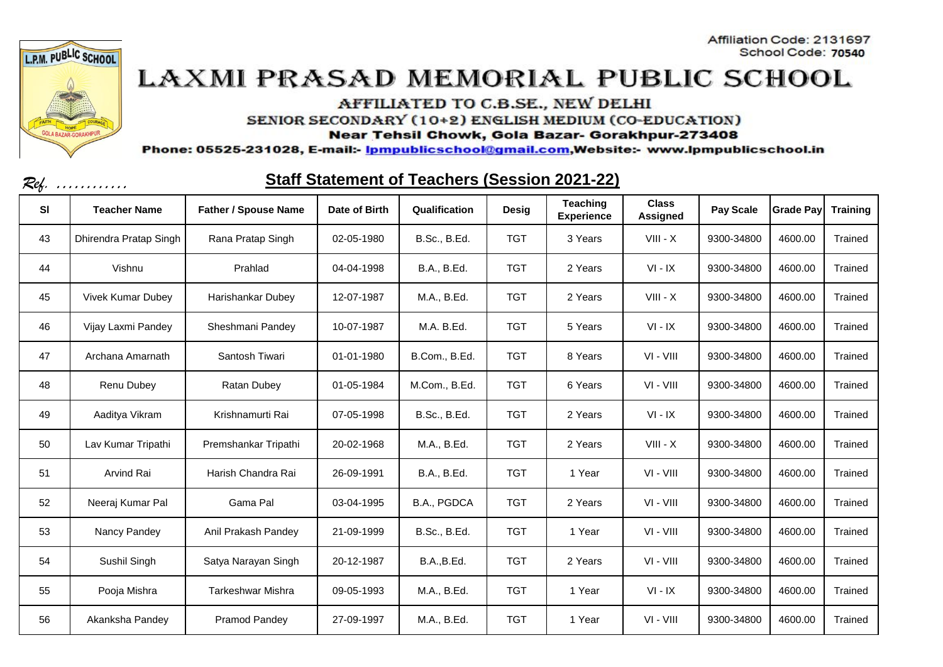



AFFILIATED TO C.B.SE., NEW DELHI

SENIOR SECONDARY (10+2) ENGLISH MEDIUM (CO-EDUCATION)

Near Tehsil Chowk, Gola Bazar- Gorakhpur-273408

Phone: 05525-231028, E-mail:- Ipmpublicschool@gmail.com,Website:- www.Ipmpublicschool.in

| Kef.      | .                        |                             |               | <u>Ulah Ulalghigili Uli Teachers (Ugssiuh Zuz I-22)</u> |              |                                      |                                 |            |                  |                 |
|-----------|--------------------------|-----------------------------|---------------|---------------------------------------------------------|--------------|--------------------------------------|---------------------------------|------------|------------------|-----------------|
| <b>SI</b> | <b>Teacher Name</b>      | <b>Father / Spouse Name</b> | Date of Birth | Qualification                                           | <b>Desig</b> | <b>Teaching</b><br><b>Experience</b> | <b>Class</b><br><b>Assigned</b> | Pay Scale  | <b>Grade Pay</b> | <b>Training</b> |
| 43        | Dhirendra Pratap Singh   | Rana Pratap Singh           | 02-05-1980    | B.Sc., B.Ed.                                            | <b>TGT</b>   | 3 Years                              | $VIII - X$                      | 9300-34800 | 4600.00          | Trained         |
| 44        | Vishnu                   | Prahlad                     | 04-04-1998    | B.A., B.Ed.                                             | <b>TGT</b>   | 2 Years                              | $VI - IX$                       | 9300-34800 | 4600.00          | Trained         |
| 45        | <b>Vivek Kumar Dubey</b> | Harishankar Dubey           | 12-07-1987    | M.A., B.Ed.                                             | <b>TGT</b>   | 2 Years                              | $VIII - X$                      | 9300-34800 | 4600.00          | Trained         |
| 46        | Vijay Laxmi Pandey       | Sheshmani Pandey            | 10-07-1987    | M.A. B.Ed.                                              | <b>TGT</b>   | 5 Years                              | $VI - IX$                       | 9300-34800 | 4600.00          | Trained         |
| 47        | Archana Amarnath         | Santosh Tiwari              | 01-01-1980    | B.Com., B.Ed.                                           | <b>TGT</b>   | 8 Years                              | VI - VIII                       | 9300-34800 | 4600.00          | Trained         |
| 48        | Renu Dubey               | Ratan Dubey                 | 01-05-1984    | M.Com., B.Ed.                                           | <b>TGT</b>   | 6 Years                              | $VI - VIII$                     | 9300-34800 | 4600.00          | Trained         |
| 49        | Aaditya Vikram           | Krishnamurti Rai            | 07-05-1998    | <b>B.Sc., B.Ed.</b>                                     | <b>TGT</b>   | 2 Years                              | $VI - IX$                       | 9300-34800 | 4600.00          | Trained         |
| 50        | Lav Kumar Tripathi       | Premshankar Tripathi        | 20-02-1968    | M.A., B.Ed.                                             | <b>TGT</b>   | 2 Years                              | $VIII - X$                      | 9300-34800 | 4600.00          | Trained         |
| 51        | Arvind Rai               | Harish Chandra Rai          | 26-09-1991    | B.A., B.Ed.                                             | <b>TGT</b>   | 1 Year                               | $VI - VIII$                     | 9300-34800 | 4600.00          | Trained         |
| 52        | Neeraj Kumar Pal         | Gama Pal                    | 03-04-1995    | B.A., PGDCA                                             | <b>TGT</b>   | 2 Years                              | VI - VIII                       | 9300-34800 | 4600.00          | Trained         |
| 53        | Nancy Pandey             | Anil Prakash Pandey         | 21-09-1999    | <b>B.Sc., B.Ed.</b>                                     | <b>TGT</b>   | 1 Year                               | VI - VIII                       | 9300-34800 | 4600.00          | Trained         |
| 54        | Sushil Singh             | Satya Narayan Singh         | 20-12-1987    | <b>B.A., B.Ed.</b>                                      | <b>TGT</b>   | 2 Years                              | $VI - VIII$                     | 9300-34800 | 4600.00          | Trained         |
| 55        | Pooja Mishra             | <b>Tarkeshwar Mishra</b>    | 09-05-1993    | M.A., B.Ed.                                             | <b>TGT</b>   | 1 Year                               | $VI - IX$                       | 9300-34800 | 4600.00          | Trained         |
| 56        | Akanksha Pandey          | Pramod Pandey               | 27-09-1997    | M.A., B.Ed.                                             | <b>TGT</b>   | 1 Year                               | VI - VIII                       | 9300-34800 | 4600.00          | Trained         |

#### Staff Statement of Teachers (Session 2021 22)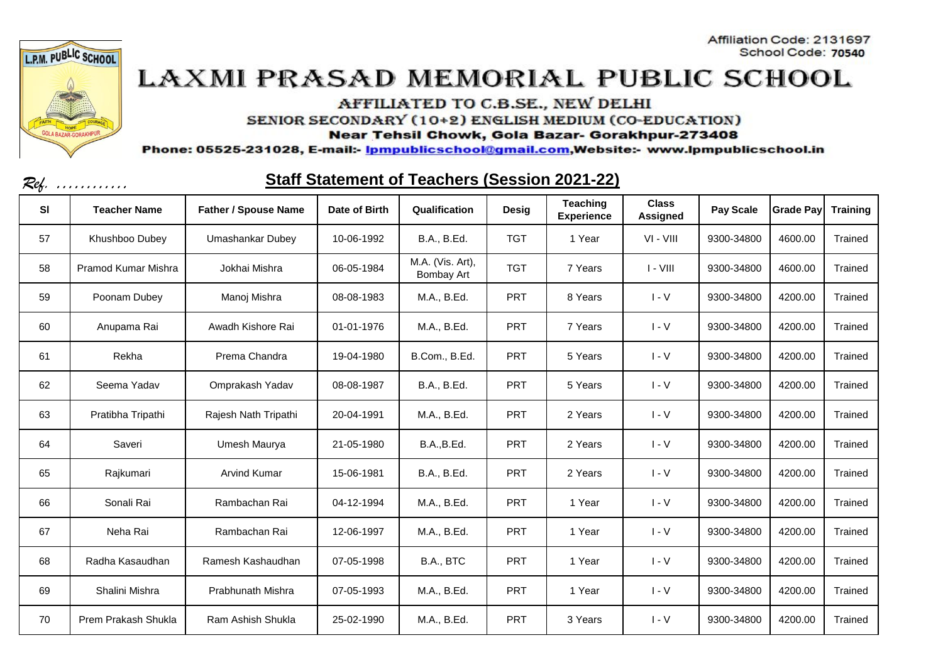



AFFILIATED TO C.B.SE., NEW DELHI

SENIOR SECONDARY (10+2) ENGLISH MEDIUM (CO-EDUCATION)

Near Tehsil Chowk, Gola Bazar- Gorakhpur-273408

Phone: 05525-231028, E-mail:- Ipmpublicschool@gmail.com,Website:- www.Ipmpublicschool.in

| Kef.      | <u>Jian Jialenichi Ul Teachers (Jessiun Zuz i-ZZ)</u><br>. |                             |               |                                |              |                               |                                 |                  |                  |                 |
|-----------|------------------------------------------------------------|-----------------------------|---------------|--------------------------------|--------------|-------------------------------|---------------------------------|------------------|------------------|-----------------|
| <b>SI</b> | <b>Teacher Name</b>                                        | <b>Father / Spouse Name</b> | Date of Birth | Qualification                  | <b>Desig</b> | Teaching<br><b>Experience</b> | <b>Class</b><br><b>Assigned</b> | <b>Pay Scale</b> | <b>Grade Pay</b> | <b>Training</b> |
| 57        | Khushboo Dubey                                             | Umashankar Dubey            | 10-06-1992    | B.A., B.Ed.                    | <b>TGT</b>   | 1 Year                        | $VI - VIII$                     | 9300-34800       | 4600.00          | Trained         |
| 58        | Pramod Kumar Mishra                                        | Jokhai Mishra               | 06-05-1984    | M.A. (Vis. Art),<br>Bombay Art | <b>TGT</b>   | 7 Years                       | $I - VIII$                      | 9300-34800       | 4600.00          | Trained         |
| 59        | Poonam Dubey                                               | Manoj Mishra                | 08-08-1983    | M.A., B.Ed.                    | <b>PRT</b>   | 8 Years                       | $I - V$                         | 9300-34800       | 4200.00          | Trained         |
| 60        | Anupama Rai                                                | Awadh Kishore Rai           | 01-01-1976    | M.A., B.Ed.                    | <b>PRT</b>   | 7 Years                       | $I - V$                         | 9300-34800       | 4200.00          | Trained         |
| 61        | Rekha                                                      | Prema Chandra               | 19-04-1980    | B.Com., B.Ed.                  | <b>PRT</b>   | 5 Years                       | $I - V$                         | 9300-34800       | 4200.00          | Trained         |
| 62        | Seema Yadav                                                | Omprakash Yadav             | 08-08-1987    | B.A., B.Ed.                    | <b>PRT</b>   | 5 Years                       | $I - V$                         | 9300-34800       | 4200.00          | Trained         |
| 63        | Pratibha Tripathi                                          | Rajesh Nath Tripathi        | 20-04-1991    | M.A., B.Ed.                    | <b>PRT</b>   | 2 Years                       | $I - V$                         | 9300-34800       | 4200.00          | Trained         |
| 64        | Saveri                                                     | Umesh Maurya                | 21-05-1980    | <b>B.A., B.Ed.</b>             | <b>PRT</b>   | 2 Years                       | $I - V$                         | 9300-34800       | 4200.00          | Trained         |
| 65        | Rajkumari                                                  | <b>Arvind Kumar</b>         | 15-06-1981    | B.A., B.Ed.                    | PRT          | 2 Years                       | $I - V$                         | 9300-34800       | 4200.00          | Trained         |
| 66        | Sonali Rai                                                 | Rambachan Rai               | 04-12-1994    | M.A., B.Ed.                    | <b>PRT</b>   | 1 Year                        | $I - V$                         | 9300-34800       | 4200.00          | Trained         |
| 67        | Neha Rai                                                   | Rambachan Rai               | 12-06-1997    | M.A., B.Ed.                    | <b>PRT</b>   | 1 Year                        | $I - V$                         | 9300-34800       | 4200.00          | Trained         |
| 68        | Radha Kasaudhan                                            | Ramesh Kashaudhan           | 07-05-1998    | B.A., BTC                      | PRT          | 1 Year                        | $I - V$                         | 9300-34800       | 4200.00          | Trained         |
| 69        | Shalini Mishra                                             | Prabhunath Mishra           | 07-05-1993    | M.A., B.Ed.                    | <b>PRT</b>   | 1 Year                        | $I - V$                         | 9300-34800       | 4200.00          | Trained         |
| 70        | Prem Prakash Shukla                                        | Ram Ashish Shukla           | 25-02-1990    | M.A., B.Ed.                    | <b>PRT</b>   | 3 Years                       | $I - V$                         | 9300-34800       | 4200.00          | Trained         |

#### Staff Statement of Teachers (Session 2021-22)